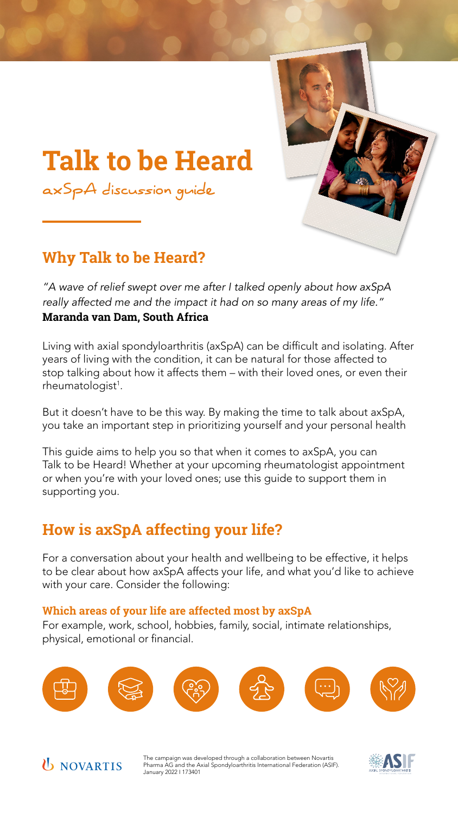### **How is axSpA affecting your life?**

For a conversation about your health and wellbeing to be effective, it helps to be clear about how axSpA affects your life, and what you'd like to achieve with your care. Consider the following:

### **Which areas of your life are affected most by axSpA**

Living with axial spondyloarthritis (axSpA) can be difficult and isolating. After years of living with the condition, it can be natural for those affected to stop talking about how it affects them – with their loved ones, or even their rheumatologist<sup>1</sup>.

For example, work, school, hobbies, family, social, intimate relationships, physical, emotional or financial.





# **Talk to be Heard**

*axSpA discussion guide*



### **Why Talk to be Heard?**

*"A wave of relief swept over me after I talked openly about how axSpA really affected me and the impact it had on so many areas of my life."* **Maranda van Dam, South Africa**

But it doesn't have to be this way. By making the time to talk about axSpA, you take an important step in prioritizing yourself and your personal health

This guide aims to help you so that when it comes to axSpA, you can Talk to be Heard! Whether at your upcoming rheumatologist appointment or when you're with your loved ones; use this guide to support them in supporting you.



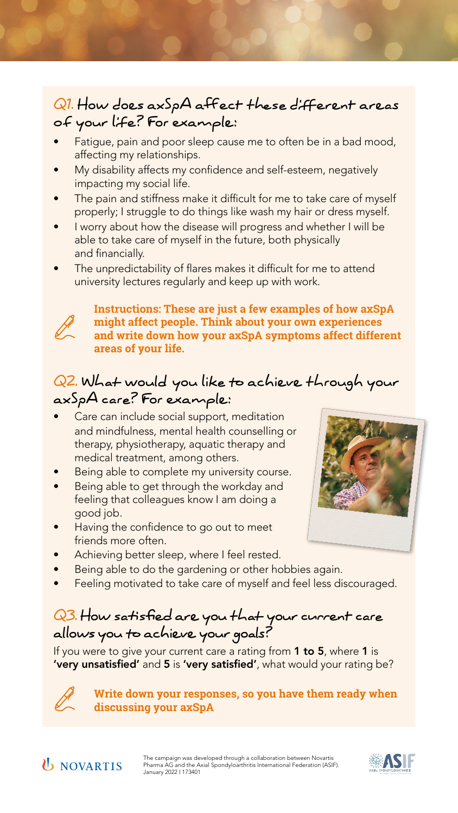

### *Q1. How does axSpA affect these different areas of your life? For example:*

- Fatigue, pain and poor sleep cause me to often be in a bad mood, affecting my relationships.
- My disability affects my confidence and self-esteem, negatively impacting my social life.
- The pain and stiffness make it difficult for me to take care of myself properly; I struggle to do things like wash my hair or dress myself.
- I worry about how the disease will progress and whether I will be able to take care of myself in the future, both physically and financially.
- The unpredictability of flares makes it difficult for me to attend university lectures regularly and keep up with work.



- Care can include social support, meditation and mindfulness, mental health counselling or therapy, physiotherapy, aquatic therapy and medical treatment, among others.
- Being able to complete my university course.
- Being able to get through the workday and feeling that colleagues know I am doing a good job.
- Having the confidence to go out to meet friends more often.



### *Q2. What would you like to achieve through your axSpA care? For example:*

- Achieving better sleep, where I feel rested.
- Being able to do the gardening or other hobbies again.
- Feeling motivated to take care of myself and feel less discouraged.

## *Q3. How satisfied are you that your current care allows you to achieve your goals?*

If you were to give your current care a rating from 1 to 5, where 1 is 'very unsatisfied' and 5 is 'very satisfied', what would your rating be?



**Instructions: These are just a few examples of how axSpA might affect people. Think about your own experiences and write down how your axSpA symptoms affect different areas of your life.**

#### **Write down your responses, so you have them ready when discussing your axSpA**





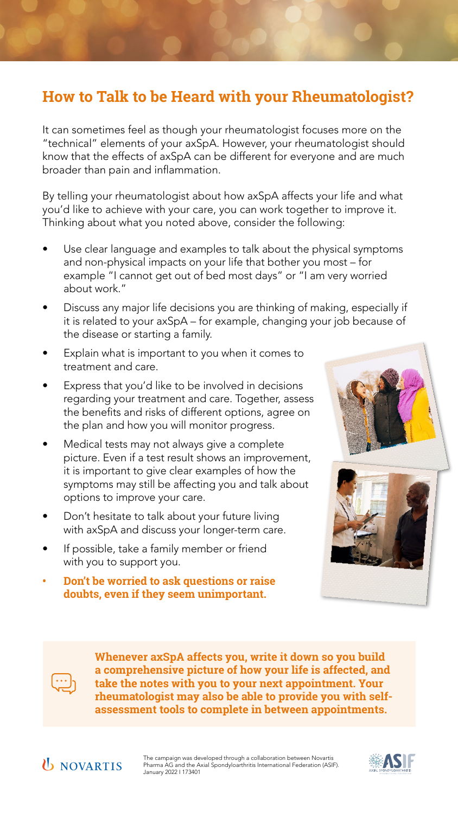### **How to Talk to be Heard with your Rheumatologist?**

It can sometimes feel as though your rheumatologist focuses more on the "technical" elements of your axSpA. However, your rheumatologist should know that the effects of axSpA can be different for everyone and are much broader than pain and inflammation.

By telling your rheumatologist about how axSpA affects your life and what you'd like to achieve with your care, you can work together to improve it. Thinking about what you noted above, consider the following:

- Use clear language and examples to talk about the physical symptoms and non-physical impacts on your life that bother you most – for example "I cannot get out of bed most days" or "I am very worried about work."
- Discuss any major life decisions you are thinking of making, especially if it is related to your axSpA – for example, changing your job because of the disease or starting a family.
- Explain what is important to you when it comes to treatment and care.



- Express that you'd like to be involved in decisions regarding your treatment and care. Together, assess the benefits and risks of different options, agree on the plan and how you will monitor progress.
- Medical tests may not always give a complete picture. Even if a test result shows an improvement, it is important to give clear examples of how the symptoms may still be affecting you and talk about options to improve your care.
- Don't hesitate to talk about your future living with axSpA and discuss your longer-term care.
- If possible, take a family member or friend with you to support you.
- **• Don't be worried to ask questions or raise doubts, even if they seem unimportant.**



**Whenever axSpA affects you, write it down so you build a comprehensive picture of how your life is affected, and take the notes with you to your next appointment. Your rheumatologist may also be able to provide you with selfassessment tools to complete in between appointments.**